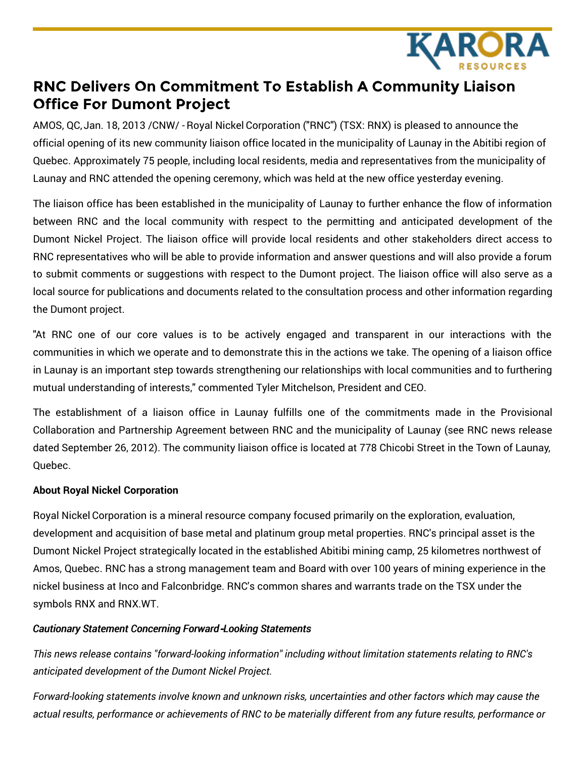

## **RNC Delivers On Commitment To Establish A Community Liaison Office For Dumont Project**

AMOS, QC, Jan. 18, 2013 /CNW/ - Royal Nickel Corporation ("RNC") (TSX: RNX) is pleased to announce the official opening of its new community liaison office located in the municipality of Launay in the Abitibi region of Quebec. Approximately 75 people, including local residents, media and representatives from the municipality of Launay and RNC attended the opening ceremony, which was held at the new office yesterday evening.

The liaison office has been established in the municipality of Launay to further enhance the flow of information between RNC and the local community with respect to the permitting and anticipated development of the Dumont Nickel Project. The liaison office will provide local residents and other stakeholders direct access to RNC representatives who will be able to provide information and answer questions and will also provide a forum to submit comments or suggestions with respect to the Dumont project. The liaison office will also serve as a local source for publications and documents related to the consultation process and other information regarding the Dumont project.

"At RNC one of our core values is to be actively engaged and transparent in our interactions with the communities in which we operate and to demonstrate this in the actions we take. The opening of a liaison office in Launay is an important step towards strengthening our relationships with local communities and to furthering mutual understanding of interests," commented Tyler Mitchelson, President and CEO.

The establishment of a liaison office in Launay fulfills one of the commitments made in the Provisional Collaboration and Partnership Agreement between RNC and the municipality of Launay (see RNC news release dated September 26, 2012). The community liaison office is located at 778 Chicobi Street in the Town of Launay, Quebec.

## **About Royal Nickel Corporation**

Royal Nickel Corporation is a mineral resource company focused primarily on the exploration, evaluation, development and acquisition of base metal and platinum group metal properties. RNC's principal asset is the Dumont Nickel Project strategically located in the established Abitibi mining camp, 25 kilometres northwest of Amos, Quebec. RNC has a strong management team and Board with over 100 years of mining experience in the nickel business at Inco and Falconbridge. RNC's common shares and warrants trade on the TSX under the symbols RNX and RNX.WT.

## *Cautionary Statement Concerning Forward***‐***Looking Statements*

*This news release contains "forward-looking information" including without limitation statements relating to RNC's anticipated development of the Dumont Nickel Project.*

*Forward-looking statements involve known and unknown risks, uncertainties and other factors which may cause the* actual results, performance or achievements of RNC to be materially different from any future results, performance or